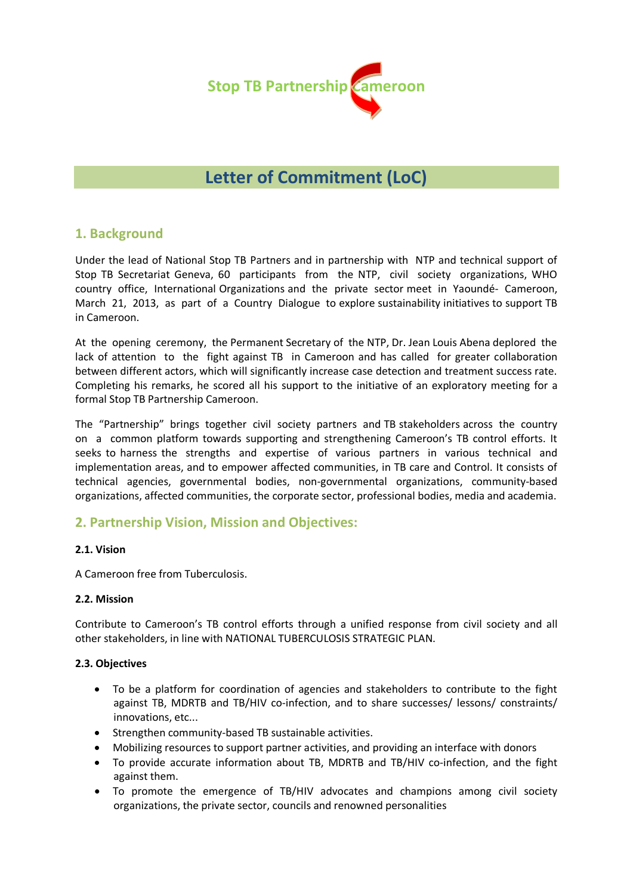

# **Letter of Commitment (LoC)**

# **1. Background**

Under the lead of National Stop TB Partners and in partnership with NTP and technical support of Stop TB Secretariat Geneva, 60 participants from the NTP, civil society organizations, WHO country office, International Organizations and the private sector meet in Yaoundé- Cameroon, March 21, 2013, as part of a Country Dialogue to explore sustainability initiatives to support TB in Cameroon.

At the opening ceremony, the Permanent Secretary of the NTP, Dr. Jean Louis Abena deplored the lack of attention to the fight against TB in Cameroon and has called for greater collaboration between different actors, which will significantly increase case detection and treatment success rate. Completing his remarks, he scored all his support to the initiative of an exploratory meeting for a formal Stop TB Partnership Cameroon.

The "Partnership" brings together civil society partners and TB stakeholders across the country on a common platform towards supporting and strengthening Cameroon's TB control efforts. It seeks to harness the strengths and expertise of various partners in various technical and implementation areas, and to empower affected communities, in TB care and Control. It consists of technical agencies, governmental bodies, non-governmental organizations, community-based organizations, affected communities, the corporate sector, professional bodies, media and academia.

# **2. Partnership Vision, Mission and Objectives:**

## **2.1. Vision**

A Cameroon free from Tuberculosis.

## **2.2. Mission**

Contribute to Cameroon's TB control efforts through a unified response from civil society and all other stakeholders, in line with NATIONAL TUBERCULOSIS STRATEGIC PLAN.

## **2.3. Objectives**

- To be a platform for coordination of agencies and stakeholders to contribute to the fight against TB, MDRTB and TB/HIV co-infection, and to share successes/ lessons/ constraints/ innovations, etc...
- Strengthen community-based TB sustainable activities.
- Mobilizing resources to support partner activities, and providing an interface with donors
- To provide accurate information about TB, MDRTB and TB/HIV co-infection, and the fight against them.
- To promote the emergence of TB/HIV advocates and champions among civil society organizations, the private sector, councils and renowned personalities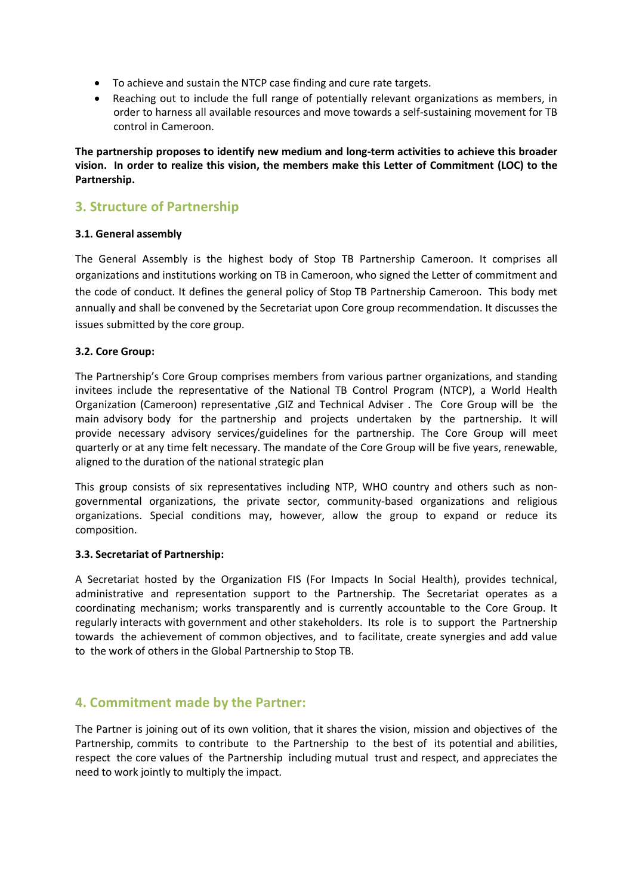- To achieve and sustain the NTCP case finding and cure rate targets.
- Reaching out to include the full range of potentially relevant organizations as members, in order to harness all available resources and move towards a self-sustaining movement for TB control in Cameroon.

**The partnership proposes to identify new medium and long-term activities to achieve this broader vision. In order to realize this vision, the members make this Letter of Commitment (LOC) to the Partnership.** 

# **3. Structure of Partnership**

## **3.1. General assembly**

The General Assembly is the highest body of Stop TB Partnership Cameroon. It comprises all organizations and institutions working on TB in Cameroon, who signed the Letter of commitment and the code of conduct. It defines the general policy of Stop TB Partnership Cameroon. This body met annually and shall be convened by the Secretariat upon Core group recommendation. It discusses the issues submitted by the core group.

## **3.2. Core Group:**

The Partnership's Core Group comprises members from various partner organizations, and standing invitees include the representative of the National TB Control Program (NTCP), a World Health Organization (Cameroon) representative ,GIZ and Technical Adviser . The Core Group will be the main advisory body for the partnership and projects undertaken by the partnership. It will provide necessary advisory services/guidelines for the partnership. The Core Group will meet quarterly or at any time felt necessary. The mandate of the Core Group will be five years, renewable, aligned to the duration of the national strategic plan

This group consists of six representatives including NTP, WHO country and others such as nongovernmental organizations, the private sector, community-based organizations and religious organizations. Special conditions may, however, allow the group to expand or reduce its composition.

## **3.3. Secretariat of Partnership:**

A Secretariat hosted by the Organization FIS (For Impacts In Social Health), provides technical, administrative and representation support to the Partnership. The Secretariat operates as a coordinating mechanism; works transparently and is currently accountable to the Core Group. It regularly interacts with government and other stakeholders. Its role is to support the Partnership towards the achievement of common objectives, and to facilitate, create synergies and add value to the work of others in the Global Partnership to Stop TB.

# **4. Commitment made by the Partner:**

The Partner is joining out of its own volition, that it shares the vision, mission and objectives of the Partnership, commits to contribute to the Partnership to the best of its potential and abilities, respect the core values of the Partnership including mutual trust and respect, and appreciates the need to work jointly to multiply the impact.